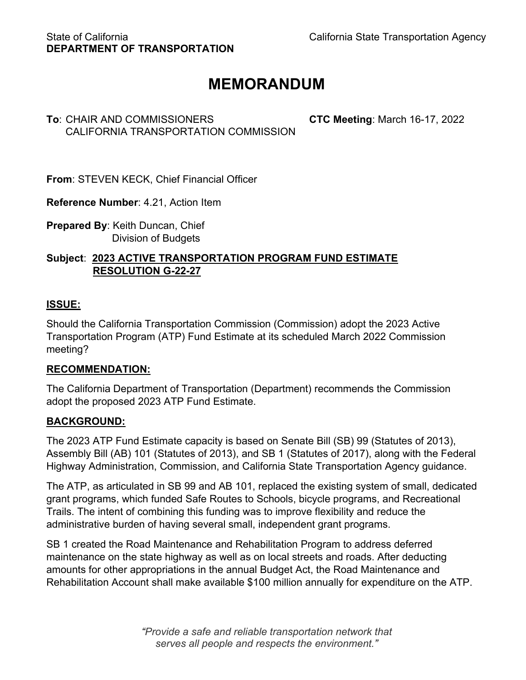# **MEMORANDUM**

## **To**: CHAIR AND COMMISSIONERS **CTC Meeting**: March 16-17, 2022 CALIFORNIA TRANSPORTATION COMMISSION

**From**: STEVEN KECK, Chief Financial Officer

**Reference Number**: 4.21, Action Item

**Prepared By**: Keith Duncan, Chief Division of Budgets

## **Subject**: **2023 ACTIVE TRANSPORTATION PROGRAM FUND ESTIMATE RESOLUTION G-22-27**

## **ISSUE:**

Should the California Transportation Commission (Commission) adopt the 2023 Active Transportation Program (ATP) Fund Estimate at its scheduled March 2022 Commission meeting?

## **RECOMMENDATION:**

The California Department of Transportation (Department) recommends the Commission adopt the proposed 2023 ATP Fund Estimate.

## **BACKGROUND:**

The 2023 ATP Fund Estimate capacity is based on Senate Bill (SB) 99 (Statutes of 2013), Assembly Bill (AB) 101 (Statutes of 2013), and SB 1 (Statutes of 2017), along with the Federal Highway Administration, Commission, and California State Transportation Agency guidance.

The ATP, as articulated in SB 99 and AB 101, replaced the existing system of small, dedicated grant programs, which funded Safe Routes to Schools, bicycle programs, and Recreational Trails. The intent of combining this funding was to improve flexibility and reduce the administrative burden of having several small, independent grant programs.

SB 1 created the Road Maintenance and Rehabilitation Program to address deferred maintenance on the state highway as well as on local streets and roads. After deducting amounts for other appropriations in the annual Budget Act, the Road Maintenance and Rehabilitation Account shall make available \$100 million annually for expenditure on the ATP.

> *"Provide a safe and reliable transportation network that serves all people and respects the environment."*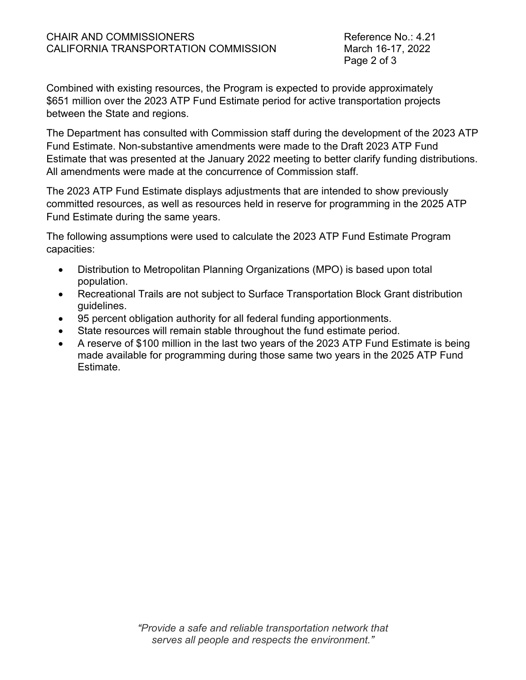Page 2 of 3

Combined with existing resources, the Program is expected to provide approximately \$651 million over the 2023 ATP Fund Estimate period for active transportation projects between the State and regions.

The Department has consulted with Commission staff during the development of the 2023 ATP Fund Estimate. Non-substantive amendments were made to the Draft 2023 ATP Fund Estimate that was presented at the January 2022 meeting to better clarify funding distributions. All amendments were made at the concurrence of Commission staff.

The 2023 ATP Fund Estimate displays adjustments that are intended to show previously committed resources, as well as resources held in reserve for programming in the 2025 ATP Fund Estimate during the same years.

The following assumptions were used to calculate the 2023 ATP Fund Estimate Program capacities:

- Distribution to Metropolitan Planning Organizations (MPO) is based upon total population.
- Recreational Trails are not subject to Surface Transportation Block Grant distribution guidelines.
- 95 percent obligation authority for all federal funding apportionments.
- State resources will remain stable throughout the fund estimate period.
- A reserve of \$100 million in the last two years of the 2023 ATP Fund Estimate is being made available for programming during those same two years in the 2025 ATP Fund Estimate.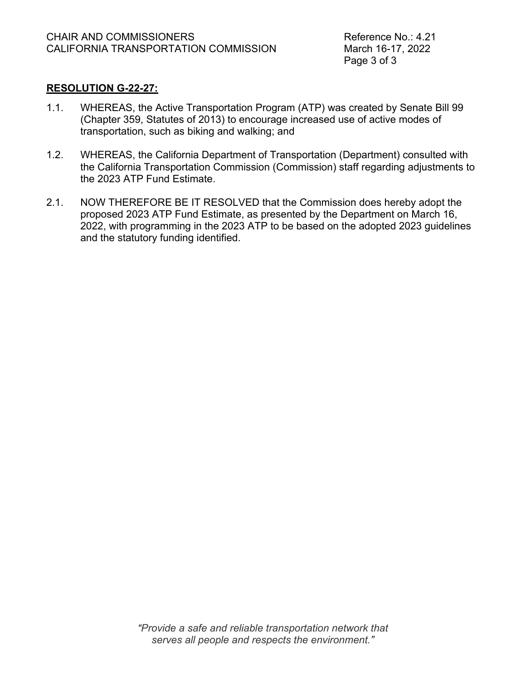Page 3 of 3

### **RESOLUTION G-22-27:**

- 1.1. WHEREAS, the Active Transportation Program (ATP) was created by Senate Bill 99 (Chapter 359, Statutes of 2013) to encourage increased use of active modes of transportation, such as biking and walking; and
- 1.2. WHEREAS, the California Department of Transportation (Department) consulted with the California Transportation Commission (Commission) staff regarding adjustments to the 2023 ATP Fund Estimate.
- 2.1. NOW THEREFORE BE IT RESOLVED that the Commission does hereby adopt the proposed 2023 ATP Fund Estimate, as presented by the Department on March 16, 2022, with programming in the 2023 ATP to be based on the adopted 2023 guidelines and the statutory funding identified.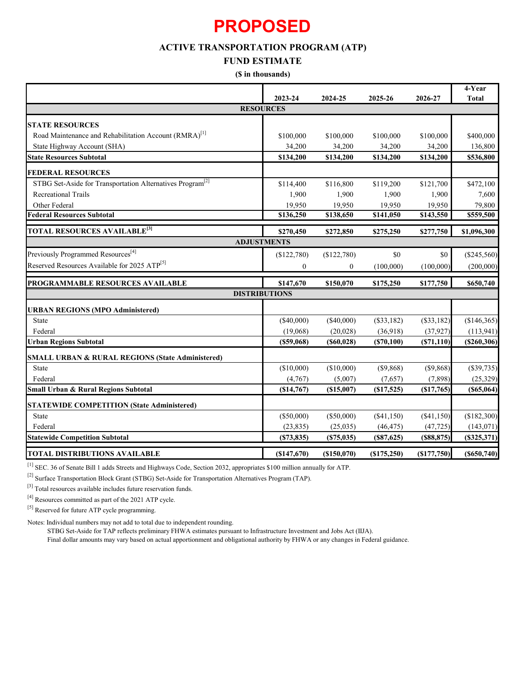# **PROPOSED**

## **ACTIVE TRANSPORTATION PROGRAM (ATP)**

#### **FUND ESTIMATE**

#### **(\$ in thousands)**

|                                                                       |              |                   |                |                  | $4$ -Year      |  |  |  |  |
|-----------------------------------------------------------------------|--------------|-------------------|----------------|------------------|----------------|--|--|--|--|
|                                                                       | 2023-24      | 2024-25           | 2025-26        | 2026-27          | <b>Total</b>   |  |  |  |  |
| <b>RESOURCES</b>                                                      |              |                   |                |                  |                |  |  |  |  |
| <b>STATE RESOURCES</b>                                                |              |                   |                |                  |                |  |  |  |  |
| Road Maintenance and Rehabilitation Account (RMRA) <sup>[1]</sup>     | \$100,000    | \$100,000         | \$100,000      | \$100,000        | \$400,000      |  |  |  |  |
| State Highway Account (SHA)                                           | 34,200       | 34,200            | 34,200         | 34,200           | 136,800        |  |  |  |  |
| <b>State Resources Subtotal</b>                                       | \$134,200    | \$134,200         | \$134,200      | \$134,200        | \$536,800      |  |  |  |  |
| <b>FEDERAL RESOURCES</b>                                              |              |                   |                |                  |                |  |  |  |  |
| STBG Set-Aside for Transportation Alternatives Program <sup>[2]</sup> | \$114,400    | \$116,800         | \$119,200      | \$121,700        | \$472,100      |  |  |  |  |
| <b>Recreational Trails</b>                                            | 1,900        | 1,900             | 1,900          | 1,900            | 7,600          |  |  |  |  |
| Other Federal                                                         | 19,950       | 19,950            | 19,950         | 19,950           | 79,800         |  |  |  |  |
| <b>Federal Resources Subtotal</b>                                     | \$136,250    | \$138,650         | \$141,050      | \$143,550        | \$559,500      |  |  |  |  |
| <b>TOTAL RESOURCES AVAILABLE<sup>[3]</sup></b>                        | \$270,450    | \$272,850         | \$275,250      | \$277,750        | \$1,096,300    |  |  |  |  |
| <b>ADJUSTMENTS</b>                                                    |              |                   |                |                  |                |  |  |  |  |
| Previously Programmed Resources <sup>[4]</sup>                        | (\$122,780)  | (\$122,780)       | \$0            | \$0              | $(\$245,560)$  |  |  |  |  |
| Reserved Resources Available for 2025 ATP <sup>[5]</sup>              | $\mathbf{0}$ | $\mathbf{0}$      | (100,000)      | (100,000)        | (200,000)      |  |  |  |  |
| PROGRAMMABLE RESOURCES AVAILABLE                                      | \$147,670    | \$150,070         | \$175,250      | \$177,750        | \$650,740      |  |  |  |  |
| <b>DISTRIBUTIONS</b>                                                  |              |                   |                |                  |                |  |  |  |  |
| <b>URBAN REGIONS (MPO Administered)</b>                               |              |                   |                |                  |                |  |  |  |  |
| <b>State</b>                                                          | $(\$40,000)$ | $(\$40,000)$      | $(\$33,182)$   | $(\$33,182)$     | (\$146,365)    |  |  |  |  |
| Federal                                                               | (19,068)     | (20,028)          | (36,918)       | (37, 927)        | (113, 941)     |  |  |  |  |
| <b>Urban Regions Subtotal</b>                                         | (\$59,068)   | $($ \$60,028)     | (S70, 100)     | (S71, 110)       | ( \$260, 306)  |  |  |  |  |
| <b>SMALL URBAN &amp; RURAL REGIONS (State Administered)</b>           |              |                   |                |                  |                |  |  |  |  |
| <b>State</b>                                                          | (\$10,000)   | (\$10,000)        | (\$9,868)      | (\$9,868)        | (\$39,735)     |  |  |  |  |
| Federal                                                               | (4,767)      | (5,007)           | (7,657)        | (7,898)          | (25, 329)      |  |  |  |  |
| Small Urban & Rural Regions Subtotal                                  | (\$14,767)   | (S15,007)         | (\$17,525)     | (\$17,765)       | $($ \$65,064)  |  |  |  |  |
| <b>STATEWIDE COMPETITION (State Administered)</b>                     |              |                   |                |                  |                |  |  |  |  |
| State                                                                 | $(\$50,000)$ | $(\$50,000)$      | $(\$41,150)$   | (\$41,150)       | (\$182,300)    |  |  |  |  |
| Federal                                                               | (23, 835)    | (25,035)          | (46, 475)      | (47, 725)        | (143, 071)     |  |  |  |  |
| <b>Statewide Competition Subtotal</b>                                 | (S73, 835)   | (S75, 035)        | $(\$87,625)$   | $($ \$88,875 $)$ | $($ \$325,371) |  |  |  |  |
| <b>TOTAL DISTRIBUTIONS AVAILABLE</b>                                  | ( \$147,670) | $($ \$150,070 $)$ | $($ \$175,250) | ( \$177,750)     | $($ \$650,740) |  |  |  |  |

[1] SEC. 36 of Senate Bill 1 adds Streets and Highways Code, Section 2032, appropriates \$100 million annually for ATP.

[2] Surface Transportation Block Grant (STBG) Set-Aside for Transportation Alternatives Program (TAP).

[3] Total resources available includes future reservation funds.

 $\rm ^{[4]}$  Resources committed as part of the 2021 ATP cycle.

[5] Reserved for future ATP cycle programming.

Notes: Individual numbers may not add to total due to independent rounding.

STBG Set-Aside for TAP reflects preliminary FHWA estimates pursuant to Infrastructure Investment and Jobs Act (IIJA).

Final dollar amounts may vary based on actual apportionment and obligational authority by FHWA or any changes in Federal guidance.